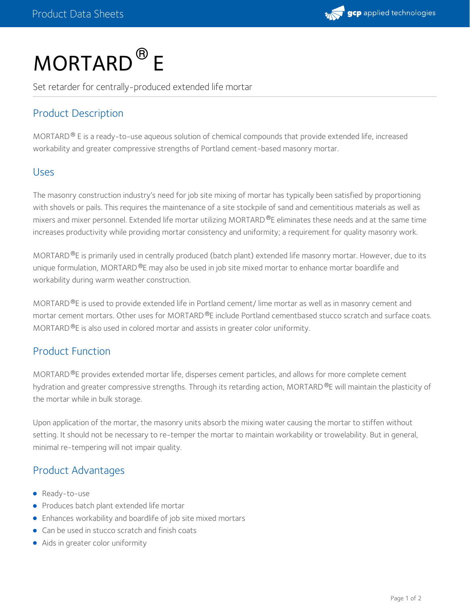

# MORTARD<sup>®</sup> E

Set retarder for centrally-produced extended life mortar

# Product Description

MORTARD  $^{\circledR}$  E is a ready-to-use aqueous solution of chemical compounds that provide extended life, increased workability and greater compressive strengths of Portland cement-based masonry mortar.

#### Uses

The masonry construction industry's need for job site mixing of mortar has typically been satisfied by proportioning with shovels or pails. This requires the maintenance of a site stockpile of sand and cementitious materials as well as mixers and mixer personnel. Extended life mortar utilizing MORTARD ®E eliminates these needs and at the same time increases productivity while providing mortar consistency and uniformity; a requirement for quality masonry work.

MORTARD ®E is primarily used in centrally produced (batch plant) extended life masonry mortar. However, due to its unique formulation, MORTARD $^\circledR$ E may also be used in job site mixed mortar to enhance mortar boardlife and workability during warm weather construction.

MORTARD ®E is used to provide extended life in Portland cement/ lime mortar as well as in masonry cement and mortar cement mortars. Other uses for MORTARD ®E include Portland cementbased stucco scratch and surface coats. MORTARD  $\Phi$ E is also used in colored mortar and assists in greater color uniformity.

## Product Function

MORTARD<sup>®</sup>E provides extended mortar life, disperses cement particles, and allows for more complete cement hydration and greater compressive strengths. Through its retarding action, MORTARD®E will maintain the plasticity of the mortar while in bulk storage.

Upon application of the mortar, the masonry units absorb the mixing water causing the mortar to stiffen without setting. It should not be necessary to re-temper the mortar to maintain workability or trowelability. But in general, minimal re-tempering will not impair quality.

#### Product Advantages

- Ready-to-use
- **•** Produces batch plant extended life mortar
- Enhances workability and boardlife of job site mixed mortars
- Can be used in stucco scratch and finish coats
- Aids in greater color uniformity